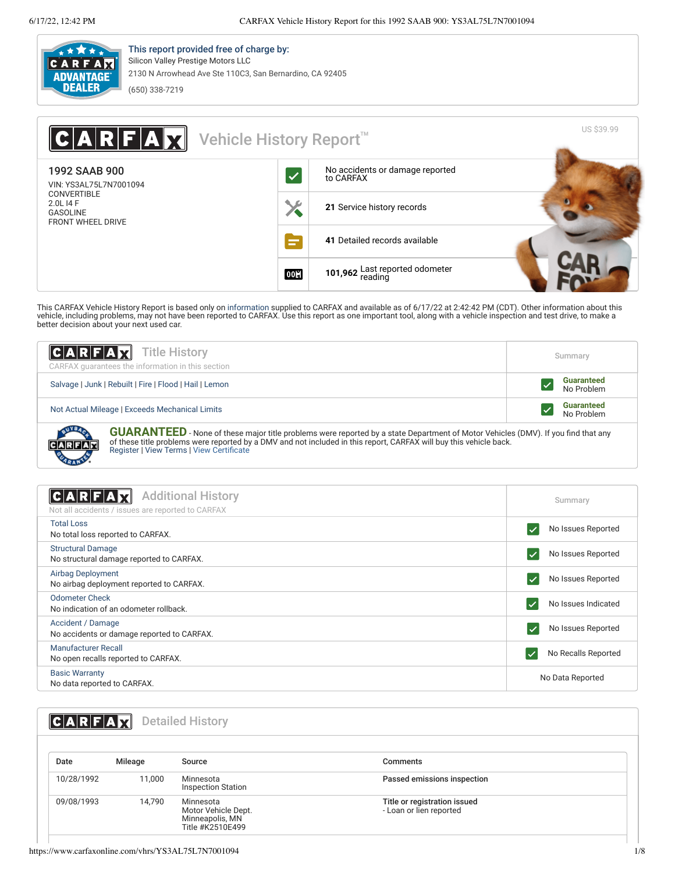

**CUARANTE** 

This report provided free of charge by: Silicon Valley Prestige Motors LLC 2130 N Arrowhead Ave Ste 110C3, San Bernardino, CA 92405 (650) 338-7219

| <b>ARFAX</b>                                                                   | Vehicle History Report <sup>™</sup> |                                              | <b>US \$39.99</b> |
|--------------------------------------------------------------------------------|-------------------------------------|----------------------------------------------|-------------------|
| 1992 SAAB 900<br>VIN: YS3AL75L7N7001094                                        | $\blacktriangledown$                | No accidents or damage reported<br>to CARFAX |                   |
| <b>CONVERTIBLE</b><br>2.0L I4 F<br><b>GASOLINE</b><br><b>FRONT WHEEL DRIVE</b> | X                                   | 21 Service history records                   |                   |
|                                                                                | E                                   | 41 Detailed records available                |                   |
|                                                                                | <b>00H</b>                          | 101,962 Last reported odometer               |                   |

This CARFAX Vehicle History Report is based only on [information](http://www.carfax.com/company/vhr-data-sources) supplied to CARFAX and available as of 6/17/22 at 2:42:42 PM (CDT). Other information about this<br>vehicle, including problems, may not have been reported to CA

| <b>CARFAX</b> Title History<br>CARFAX quarantees the information in this section                                                                                                                                                                                                                                                | Summary                         |
|---------------------------------------------------------------------------------------------------------------------------------------------------------------------------------------------------------------------------------------------------------------------------------------------------------------------------------|---------------------------------|
| Salvage   Junk   Rebuilt   Fire   Flood   Hail   Lemon                                                                                                                                                                                                                                                                          | <b>Guaranteed</b><br>No Problem |
| Not Actual Mileage   Exceeds Mechanical Limits                                                                                                                                                                                                                                                                                  | <b>Guaranteed</b><br>No Problem |
| <b>GUARANTEED</b> - None of these major title problems were reported by a state Department of Motor Vehicles (DMV). If you find that any<br>of these title problems were reported by a DMV and not included in this report, CARFAX will buy this vehicle back.<br>CARFAR<br>$D$ esister IV $L$ eur Tenne IV $L$ eur Oentificate |                                 |

of these title problems were reported by a DMV and not included in this report, CARFAX will buy this vehicle back. [Register](https://www.carfax.com/Service/bbg) | [View Terms](http://www.carfaxonline.com/legal/bbgTerms) | [View Certificate](https://www.carfaxonline.com/vhrs/YS3AL75L7N7001094)

<span id="page-0-0"></span>

| <b>Additional History</b><br>∥C A∣R∣F A,<br>Not all accidents / issues are reported to CARFAX | Summary             |
|-----------------------------------------------------------------------------------------------|---------------------|
| <b>Total Loss</b><br>No total loss reported to CARFAX.                                        | No Issues Reported  |
| <b>Structural Damage</b><br>No structural damage reported to CARFAX.                          | No Issues Reported  |
| Airbag Deployment<br>No airbag deployment reported to CARFAX.                                 | No Issues Reported  |
| Odometer Check<br>No indication of an odometer rollback.                                      | No Issues Indicated |
| Accident / Damage<br>No accidents or damage reported to CARFAX.                               | No Issues Reported  |
| Manufacturer Recall<br>No open recalls reported to CARFAX.                                    | No Recalls Reported |
| <b>Basic Warranty</b><br>No data reported to CARFAX.                                          | No Data Reported    |
|                                                                                               |                     |

## <span id="page-0-1"></span>**CARFAX** Detailed History

| Date       | Mileage | Source                                                                  | Comments                                                |
|------------|---------|-------------------------------------------------------------------------|---------------------------------------------------------|
| 10/28/1992 | 11,000  | Minnesota<br><b>Inspection Station</b>                                  | Passed emissions inspection                             |
| 09/08/1993 | 14.790  | Minnesota<br>Motor Vehicle Dept.<br>Minneapolis, MN<br>Title #K2510E499 | Title or registration issued<br>- Loan or lien reported |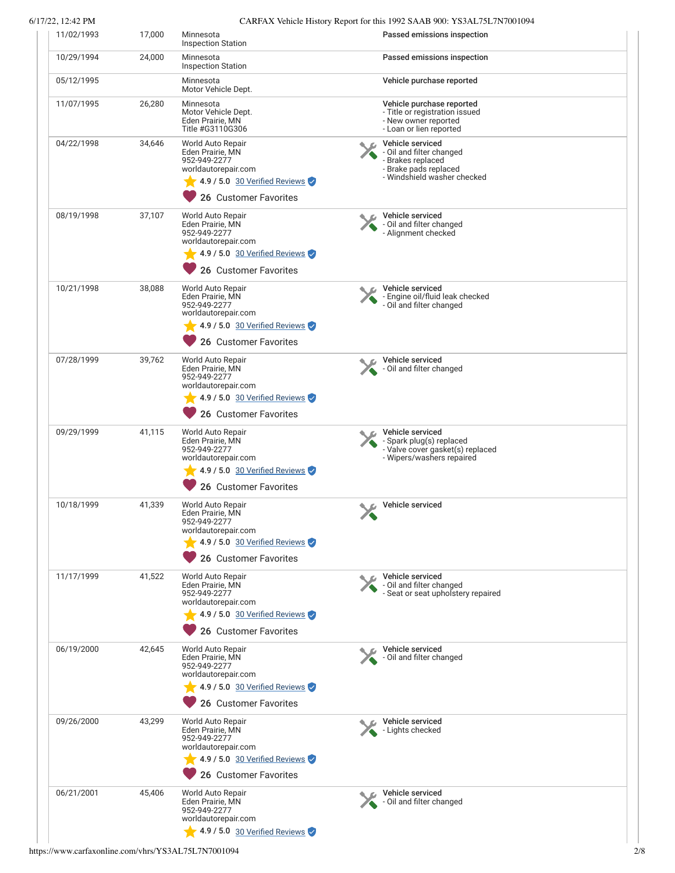6/17/22, 12:42 PM CARFAX Vehicle History Report for this 1992 SAAB 900: YS3AL75L7N7001094

| 11/02/1993 | 17,000 | Minnesota<br><b>Inspection Station</b>                                                                                                        | Passed emissions inspection                                                                                               |
|------------|--------|-----------------------------------------------------------------------------------------------------------------------------------------------|---------------------------------------------------------------------------------------------------------------------------|
| 10/29/1994 | 24,000 | Minnesota<br><b>Inspection Station</b>                                                                                                        | Passed emissions inspection                                                                                               |
| 05/12/1995 |        | Minnesota<br>Motor Vehicle Dept.                                                                                                              | Vehicle purchase reported                                                                                                 |
| 11/07/1995 | 26,280 | Minnesota<br>Motor Vehicle Dept.<br>Eden Prairie, MN<br>Title #G3110G306                                                                      | Vehicle purchase reported<br>- Title or registration issued<br>- New owner reported<br>- Loan or lien reported            |
| 04/22/1998 | 34,646 | World Auto Repair<br>Eden Prairie, MN<br>952-949-2277<br>worldautorepair.com<br>4.9 / 5.0 30 Verified Reviews<br>26 Customer Favorites        | Vehicle serviced<br>- Oil and filter changed<br>- Brakes replaced<br>- Brake pads replaced<br>- Windshield washer checked |
| 08/19/1998 | 37,107 | World Auto Repair<br>Eden Prairie, MN<br>952-949-2277<br>worldautorepair.com<br>4.9 / 5.0 30 Verified Reviews<br>26 Customer Favorites        | Vehicle serviced<br>- Oil and filter changed<br>- Alignment checked                                                       |
| 10/21/1998 | 38,088 | World Auto Repair<br>Eden Prairie, MN<br>952-949-2277<br>worldautorepair.com<br>4.9 / 5.0 30 Verified Reviews<br>26 Customer Favorites        | Vehicle serviced<br>- Engine oil/fluid leak checked<br>- Oil and filter changed                                           |
| 07/28/1999 | 39,762 | World Auto Repair<br>Eden Prairie, MN<br>952-949-2277<br>worldautorepair.com<br>4.9 / 5.0 30 Verified Reviews<br>26 Customer Favorites        | Vehicle serviced<br>- Oil and filter changed                                                                              |
| 09/29/1999 | 41,115 | World Auto Repair<br>Eden Prairie, MN<br>952-949-2277<br>worldautorepair.com<br>4.9 / 5.0 30 Verified Reviews<br>26 Customer Favorites        | Vehicle serviced<br>- Spark plug(s) replaced<br>- Valve cover gasket(s) replaced<br>- Wipers/washers repaired             |
| 10/18/1999 | 41,339 | World Auto Repair<br>Eden Prairie, MN<br>952-949-2277<br>worldautorepair.com<br>4.9 / 5.0 30 Verified Reviews<br>26 Customer Favorites        | Vehicle serviced                                                                                                          |
| 11/17/1999 | 41,522 | World Auto Repair<br>Eden Prairie, MN<br>952-949-2277<br>worldautorepair.com<br>4.9 / 5.0 30 Verified Reviews<br>26 Customer Favorites        | Vehicle serviced<br>- Oil and filter changed<br>- Seat or seat upholstery repaired                                        |
| 06/19/2000 | 42,645 | <b>World Auto Repair</b><br>Eden Prairie, MN<br>952-949-2277<br>worldautorepair.com<br>4.9 / 5.0 30 Verified Reviews<br>26 Customer Favorites | Vehicle serviced<br>- Oil and filter changed                                                                              |
| 09/26/2000 | 43,299 | World Auto Repair<br>Eden Prairie, MN<br>952-949-2277<br>worldautorepair.com<br>$\sqrt{4.9/5.0}$ 30 Verified Reviews<br>26 Customer Favorites | Vehicle serviced<br>- Lights checked                                                                                      |
| 06/21/2001 | 45,406 | World Auto Repair<br>Eden Prairie, MN<br>952-949-2277<br>worldautorepair.com<br>4.9 / 5.0 30 Verified Reviews                                 | Vehicle serviced<br>- Oil and filter changed                                                                              |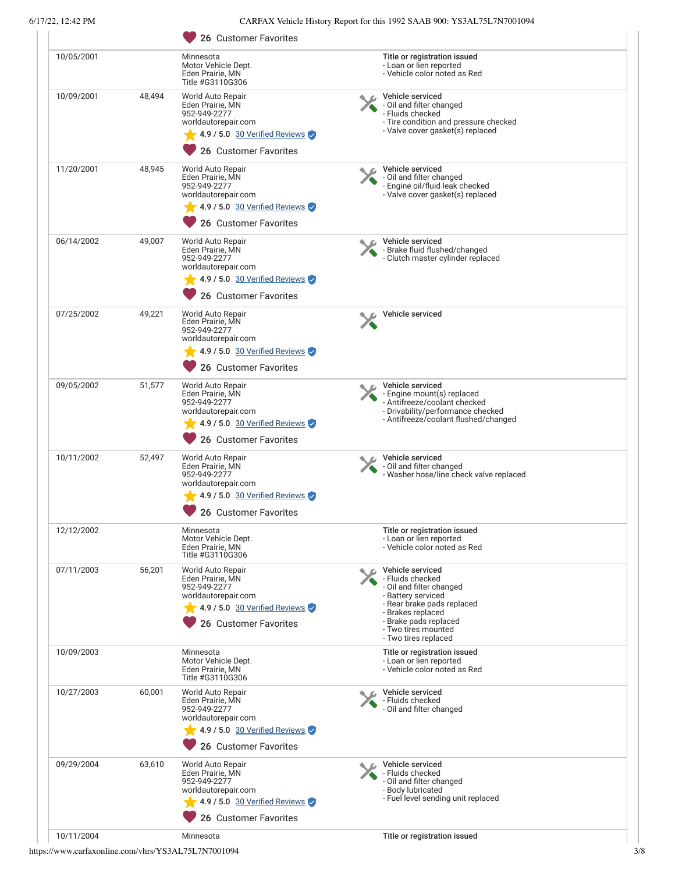## 6/17/22, 12:42 PM CARFAX Vehicle History Report for this 1992 SAAB 900: YS3AL75L7N7001094

| 10/05/2001 |        | Minnesota                                                                     | Title or registration issued                                                                    |
|------------|--------|-------------------------------------------------------------------------------|-------------------------------------------------------------------------------------------------|
|            |        | Motor Vehicle Dept.<br>Eden Prairie, MN<br>Title #G3110G306                   | - Loan or lien reported<br>- Vehicle color noted as Red                                         |
| 10/09/2001 | 48,494 | World Auto Repair<br>Eden Prairie, MN<br>952-949-2277                         | Vehicle serviced<br>- Oil and filter changed<br>- Fluids checked                                |
|            |        | worldautorepair.com<br>4.9 / 5.0 30 Verified Reviews<br>26 Customer Favorites | - Tire condition and pressure checked<br>- Valve cover gasket(s) replaced                       |
| 11/20/2001 | 48,945 | World Auto Repair                                                             | Vehicle serviced                                                                                |
|            |        | Eden Prairie, MN<br>952-949-2277<br>worldautorepair.com                       | - Oil and filter changed<br>- Engine oil/fluid leak checked<br>- Valve cover gasket(s) replaced |
|            |        | 4.9 / 5.0 30 Verified Reviews<br>26 Customer Favorites                        |                                                                                                 |
| 06/14/2002 | 49,007 | World Auto Repair                                                             | Vehicle serviced                                                                                |
|            |        | Eden Prairie, MN<br>952-949-2277<br>worldautorepair.com                       | - Brake fluid flushed/changed<br>- Clutch master cylinder replaced                              |
|            |        | 4.9 / 5.0 30 Verified Reviews<br>26 Customer Favorites                        |                                                                                                 |
|            |        |                                                                               |                                                                                                 |
| 07/25/2002 | 49,221 | World Auto Repair<br>Eden Prairie, MN<br>952-949-2277<br>worldautorepair.com  | Vehicle serviced                                                                                |
|            |        | 4.9 / 5.0 30 Verified Reviews<br>26 Customer Favorites                        |                                                                                                 |
| 09/05/2002 | 51,577 | World Auto Repair                                                             | Vehicle serviced                                                                                |
|            |        | Eden Prairie, MN<br>952-949-2277                                              | - Engine mount(s) replaced<br>- Antifreeze/coolant checked                                      |
|            |        | worldautorepair.com                                                           | - Drivability/performance checked<br>- Antifreeze/coolant flushed/changed                       |
|            |        | 4.9 / 5.0 30 Verified Reviews<br>26 Customer Favorites                        |                                                                                                 |
| 10/11/2002 | 52,497 | World Auto Repair<br>Eden Prairie, MN                                         | Vehicle serviced                                                                                |
|            |        | 952-949-2277<br>worldautorepair.com<br>4.9 / 5.0 30 Verified Reviews          | - Oil and filter changed<br>- Washer hose/line check valve replaced                             |
|            |        | 26 Customer Favorites                                                         |                                                                                                 |
| 12/12/2002 |        | Minnesota                                                                     | Title or registration issued                                                                    |
|            |        | Motor Vehicle Dept.<br>Eden Prairie, MN<br>Title #G3110G306                   | - Loan or lien reported<br>- Vehicle color noted as Red                                         |
| 07/11/2003 | 56,201 | World Auto Repair<br>Eden Prairie, MN                                         | Vehicle serviced<br>- Fluids checked                                                            |
|            |        | 952-949-2277<br>worldautorepair.com                                           | - Oil and filter changed<br>- Battery serviced<br>- Rear brake pads replaced                    |
|            |        | 4.9 / 5.0 30 Verified Reviews                                                 | - Brakes replaced                                                                               |
|            |        | 26 Customer Favorites                                                         | - Brake pads replaced<br>- Two tires mounted<br>- Two tires replaced                            |
| 10/09/2003 |        | Minnesota<br>Motor Vehicle Dept.                                              | Title or registration issued<br>- Loan or lien reported                                         |
|            |        | Eden Prairie, MN<br>Title #G3110G306                                          | - Vehicle color noted as Red                                                                    |
| 10/27/2003 | 60,001 | World Auto Repair<br>Eden Prairie, MN                                         | Vehicle serviced<br>- Fluids checked                                                            |
|            |        | 952-949-2277<br>worldautorepair.com                                           | Oil and filter changed                                                                          |
|            |        | 4.9 / 5.0 30 Verified Reviews                                                 |                                                                                                 |
|            |        | 26 Customer Favorites                                                         |                                                                                                 |
| 09/29/2004 | 63,610 | World Auto Repair                                                             | Vehicle serviced                                                                                |
|            |        | Eden Prairie, MN<br>952-949-2277                                              | - Fluids checked<br>- Oil and filter changed<br>- Body lubricated                               |
|            |        | worldautorepair.com<br>4.9 / 5.0 30 Verified Reviews                          | - Fuel level sending unit replaced                                                              |
|            |        | 26 Customer Favorites                                                         |                                                                                                 |
|            |        |                                                                               |                                                                                                 |

https://www.carfaxonline.com/vhrs/YS3AL75L7N7001094 3/8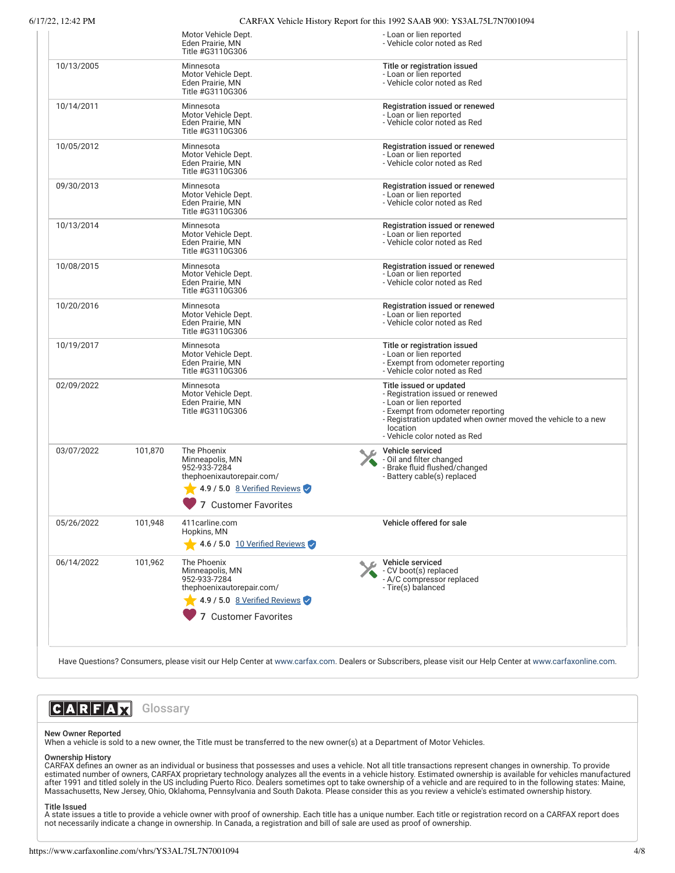6/17/22, 12:42 PM CARFAX Vehicle History Report for this 1992 SAAR 900: YS3AL75L7N7001004

| 7722, 12:42 P.M |         |                                                                                                                                     | CARFAX venicle History Report for this 1992 SAAB 900: 1 S3AL/3L/N/001094                                                                                                                                                               |
|-----------------|---------|-------------------------------------------------------------------------------------------------------------------------------------|----------------------------------------------------------------------------------------------------------------------------------------------------------------------------------------------------------------------------------------|
|                 |         | Motor Vehicle Dept.<br>Eden Prairie. MN<br>Title #G3110G306                                                                         | - Loan or lien reported<br>- Vehicle color noted as Red                                                                                                                                                                                |
| 10/13/2005      |         | Minnesota<br>Motor Vehicle Dept.<br>Eden Prairie, MN<br>Title #G3110G306                                                            | Title or registration issued<br>- Loan or lien reported<br>- Vehicle color noted as Red                                                                                                                                                |
| 10/14/2011      |         | Minnesota<br>Motor Vehicle Dept.<br>Eden Prairie, MN<br>Title #G3110G306                                                            | Registration issued or renewed<br>- Loan or lien reported<br>- Vehicle color noted as Red                                                                                                                                              |
| 10/05/2012      |         | Minnesota<br>Motor Vehicle Dept.<br>Eden Prairie, MN<br>Title #G3110G306                                                            | Registration issued or renewed<br>- Loan or lien reported<br>- Vehicle color noted as Red                                                                                                                                              |
| 09/30/2013      |         | Minnesota<br>Motor Vehicle Dept.<br>Eden Prairie, MN<br>Title #G3110G306                                                            | Registration issued or renewed<br>- Loan or lien reported<br>- Vehicle color noted as Red                                                                                                                                              |
| 10/13/2014      |         | Minnesota<br>Motor Vehicle Dept.<br>Eden Prairie, MN<br>Title #G3110G306                                                            | Registration issued or renewed<br>- Loan or lien reported<br>- Vehicle color noted as Red                                                                                                                                              |
| 10/08/2015      |         | Minnesota<br>Motor Vehicle Dept.<br>Eden Prairie, MN<br>Title #G3110G306                                                            | Registration issued or renewed<br>- Loan or lien reported<br>- Vehicle color noted as Red                                                                                                                                              |
| 10/20/2016      |         | Minnesota<br>Motor Vehicle Dept.<br>Eden Prairie, MN<br>Title #G3110G306                                                            | Registration issued or renewed<br>- Loan or lien reported<br>- Vehicle color noted as Red                                                                                                                                              |
| 10/19/2017      |         | Minnesota<br>Motor Vehicle Dept.<br>Eden Prairie, MN<br>Title #G3110G306                                                            | Title or registration issued<br>- Loan or lien reported<br>- Exempt from odometer reporting<br>- Vehicle color noted as Red                                                                                                            |
| 02/09/2022      |         | Minnesota<br>Motor Vehicle Dept.<br>Eden Prairie, MN<br>Title #G3110G306                                                            | Title issued or updated<br>- Registration issued or renewed<br>- Loan or lien reported<br>- Exempt from odometer reporting<br>- Registration updated when owner moved the vehicle to a new<br>location<br>- Vehicle color noted as Red |
| 03/07/2022      | 101,870 | The Phoenix<br>Minneapolis, MN<br>952-933-7284<br>thephoenixautorepair.com/<br>4.9 / 5.0 8 Verified Reviews<br>7 Customer Favorites | Vehicle serviced<br>- Oil and filter changed<br>- Brake fluid flushed/changed<br>- Battery cable(s) replaced                                                                                                                           |
| 05/26/2022      | 101,948 | 411 carline.com<br>Hopkins, MN<br>4.6 / 5.0 10 Verified Reviews                                                                     | Vehicle offered for sale                                                                                                                                                                                                               |
| 06/14/2022      | 101,962 | The Phoenix<br>Minneapolis, MN<br>952-933-7284<br>thephoenixautorepair.com/<br>4.9 / 5.0 8 Verified Reviews<br>7 Customer Favorites | Vehicle serviced<br>- CV boot(s) replaced<br>- A/C compressor replaced<br>- Tire(s) balanced                                                                                                                                           |

Have Questions? Consumers, please visit our Help Center at [www.carfax.com](http://www.carfax.com/help). Dealers or Subscribers, please visit our Help Center at [www.carfaxonline.com.](http://www.carfaxonline.com/)

# **CARFAX** Glossary

#### New Owner Reported

When a vehicle is sold to a new owner, the Title must be transferred to the new owner(s) at a Department of Motor Vehicles.

**Ownership History**<br>CARFAX defines an owner as an individual or business that possesses and uses a vehicle. Not all title transactions represent changes in ownership. To provide<br>estimated number of owners, CARFAX proprieta Massachusetts, New Jersey, Ohio, Oklahoma, Pennsylvania and South Dakota. Please consider this as you review a vehicle's estimated ownership history.

### Title Issued

A state issues a title to provide a vehicle owner with proof of ownership. Each title has a unique number. Each title or registration record on a CARFAX report does not necessarily indicate a change in ownership. In Canada, a registration and bill of sale are used as proof of ownership.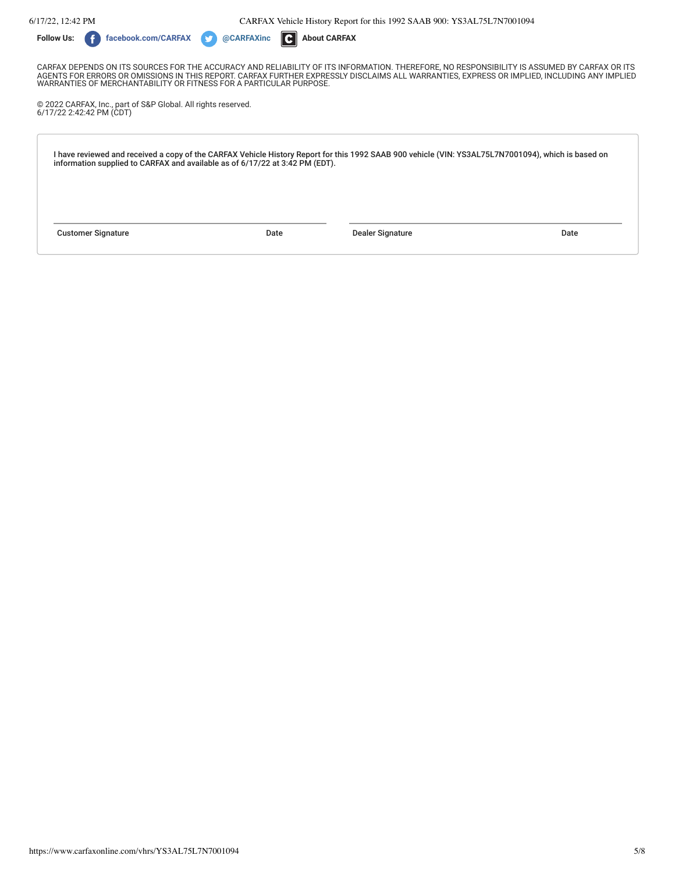6/17/22, 12:42 PM CARFAX Vehicle History Report for this 1992 SAAB 900: YS3AL75L7N7001094



CARFAX DEPENDS ON ITS SOURCES FOR THE ACCURACY AND RELIABILITY OF ITS INFORMATION. THEREFORE, NO RESPONSIBILITY IS ASSUMED BY CARFAX OR ITS AGENTS FOR ERRORS OR OMISSIONS IN THIS REPORT. CARFAX FURTHER EXPRESSLY DISCLAIMS ALL WARRANTIES, EXPRESS OR IMPLIED, INCLUDING ANY IMPLIED WARRANTIES OF MERCHANTABILITY OR FITNESS FOR A PARTICULAR PURPOSE.

© 2022 CARFAX, Inc., part of S&P Global. All rights reserved. 6/17/22 2:42:42 PM (CDT)

I have reviewed and received a copy of the CARFAX Vehicle History Report for this 1992 SAAB 900 vehicle (VIN: YS3AL75L7N7001094), which is based on information supplied to CARFAX and available as of 6/17/22 at 3:42 PM (EDT).

Customer Signature Date Dealer Signature Date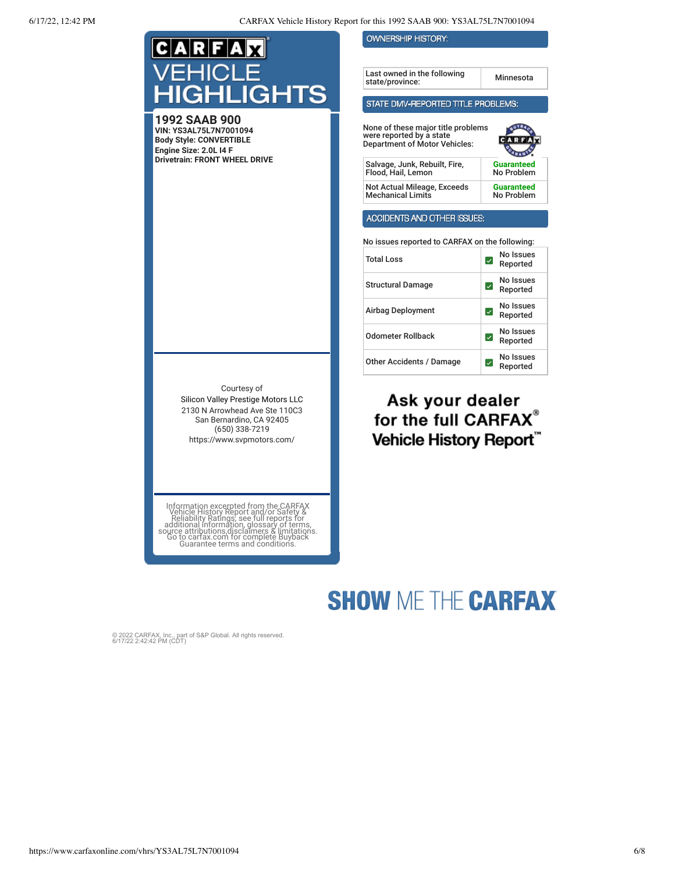| C A R F A                                                                                                                                                                                                                                                                        | <b>OWNERSHIP HISTORY:</b>                                                                                                                                                                                                |                                                                    |
|----------------------------------------------------------------------------------------------------------------------------------------------------------------------------------------------------------------------------------------------------------------------------------|--------------------------------------------------------------------------------------------------------------------------------------------------------------------------------------------------------------------------|--------------------------------------------------------------------|
|                                                                                                                                                                                                                                                                                  |                                                                                                                                                                                                                          |                                                                    |
| EHICLE                                                                                                                                                                                                                                                                           | Last owned in the following<br>state/province:                                                                                                                                                                           | Minnesota                                                          |
| <b>HIGHLIGHTS</b>                                                                                                                                                                                                                                                                | STATE DMV-REPORTED TITLE PROBLEMS:                                                                                                                                                                                       |                                                                    |
| 1992 SAAB 900<br>VIN: YS3AL75L7N7001094<br><b>Body Style: CONVERTIBLE</b><br>Engine Size: 2.0L I4 F<br><b>Drivetrain: FRONT WHEEL DRIVE</b>                                                                                                                                      | None of these major title problems<br>were reported by a state<br><b>Department of Motor Vehicles:</b><br>Salvage, Junk, Rebuilt, Fire,<br>Flood, Hail, Lemon<br>Not Actual Mileage, Exceeds<br><b>Mechanical Limits</b> | <b>Guaranteed</b><br>No Problem<br><b>Guaranteed</b><br>No Problem |
|                                                                                                                                                                                                                                                                                  |                                                                                                                                                                                                                          |                                                                    |
|                                                                                                                                                                                                                                                                                  | ACCIDENTS AND OTHER ISSUES:                                                                                                                                                                                              |                                                                    |
|                                                                                                                                                                                                                                                                                  | No issues reported to CARFAX on the following:                                                                                                                                                                           |                                                                    |
|                                                                                                                                                                                                                                                                                  | <b>Total Loss</b>                                                                                                                                                                                                        | No Issues<br>☑<br>Reported                                         |
|                                                                                                                                                                                                                                                                                  | <b>Structural Damage</b>                                                                                                                                                                                                 | No Issues<br>$\vert\downarrow\vert$<br>Reported                    |
|                                                                                                                                                                                                                                                                                  | Airbag Deployment                                                                                                                                                                                                        | No Issues<br>$\vert\downarrow\vert$<br>Reported                    |
|                                                                                                                                                                                                                                                                                  | <b>Odometer Rollback</b>                                                                                                                                                                                                 | No Issues<br>☑<br>Reported                                         |
|                                                                                                                                                                                                                                                                                  | Other Accidents / Damage                                                                                                                                                                                                 | No Issues<br>$\vert\downarrow\vert$<br>Reported                    |
| Courtesy of<br>Silicon Valley Prestige Motors LLC<br>2130 N Arrowhead Ave Ste 110C3<br>San Bernardino, CA 92405<br>$(650)$ 338-7219<br>https://www.svpmotors.com/                                                                                                                | Ask your dealer<br>for the full CARFAX®<br><b>Vehicle History Report</b>                                                                                                                                                 |                                                                    |
| Information excerpted from the CARFAX<br>Vehicle History Report and/or Safety &<br>Reliability Ratings; see full reports for<br>additional information, glossary of terms,<br>source attributions disclaimers & limitations.<br>So to cartax.<br>Guarantee terms and conditions. |                                                                                                                                                                                                                          |                                                                    |

# **SHOW ME THE CARFAX**

© 2022 CARFAX, Inc., part of S&P Global. All rights reserved. 6/17/22 2:42:42 PM (CDT)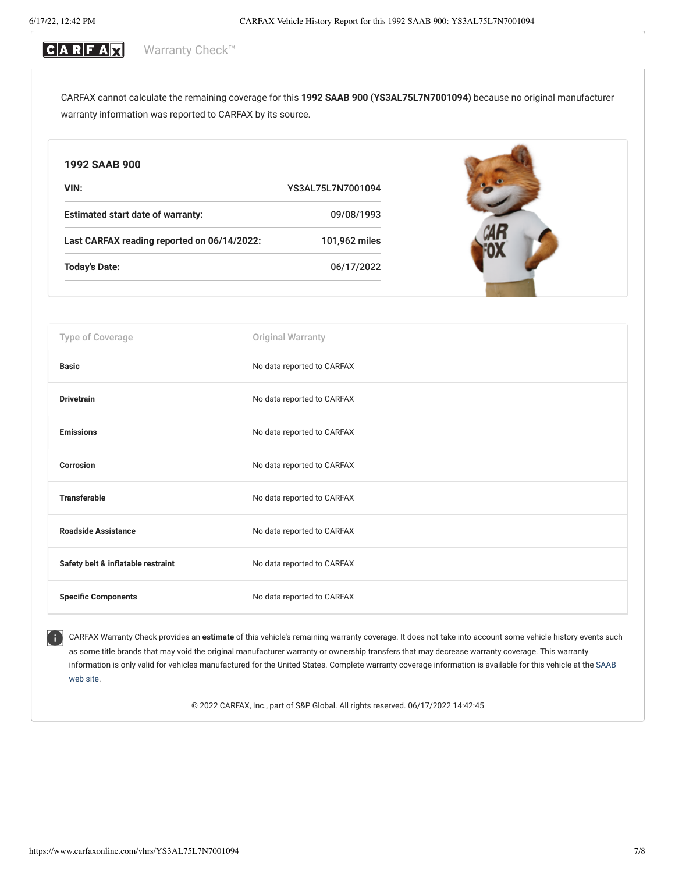#### CARFAX Warranty Check<sup>™</sup>

CARFAX cannot calculate the remaining coverage for this **1992 SAAB 900 (YS3AL75L7N7001094)** because no original manufacturer warranty information was reported to CARFAX by its source.

| 1992 SAAB 900                               |                            |
|---------------------------------------------|----------------------------|
| VIN:                                        | YS3AL75L7N7001094          |
| <b>Estimated start date of warranty:</b>    | 09/08/1993                 |
| Last CARFAX reading reported on 06/14/2022: | 101,962 miles              |
| <b>Today's Date:</b>                        | 06/17/2022                 |
|                                             |                            |
| Type of Coverage                            | Original Warranty          |
| <b>Basic</b>                                | No data reported to CARFAX |
| <b>Drivetrain</b>                           | No data reported to CARFAX |
| <b>Emissions</b>                            | No data reported to CARFAX |
| <b>Corrosion</b>                            | No data reported to CARFAX |
| <b>Transferable</b>                         | No data reported to CARFAX |
| <b>Roadside Assistance</b>                  | No data reported to CARFAX |
| Safety belt & inflatable restraint          | No data reported to CARFAX |
| <b>Specific Components</b>                  | No data reported to CARFAX |

CARFAX Warranty Check provides an **estimate** of this vehicle's remaining warranty coverage. It does not take into account some vehicle history events such as some title brands that may void the original manufacturer warranty or ownership transfers that may decrease warranty coverage. This warranty information is only valid for vehicles manufactured for the United States. [Complete warranty coverage information is available for this vehicle at the](http://www.saabusa.com/) SAAB web site.

© 2022 CARFAX, Inc., part of S&P Global. All rights reserved. 06/17/2022 14:42:45

Œ